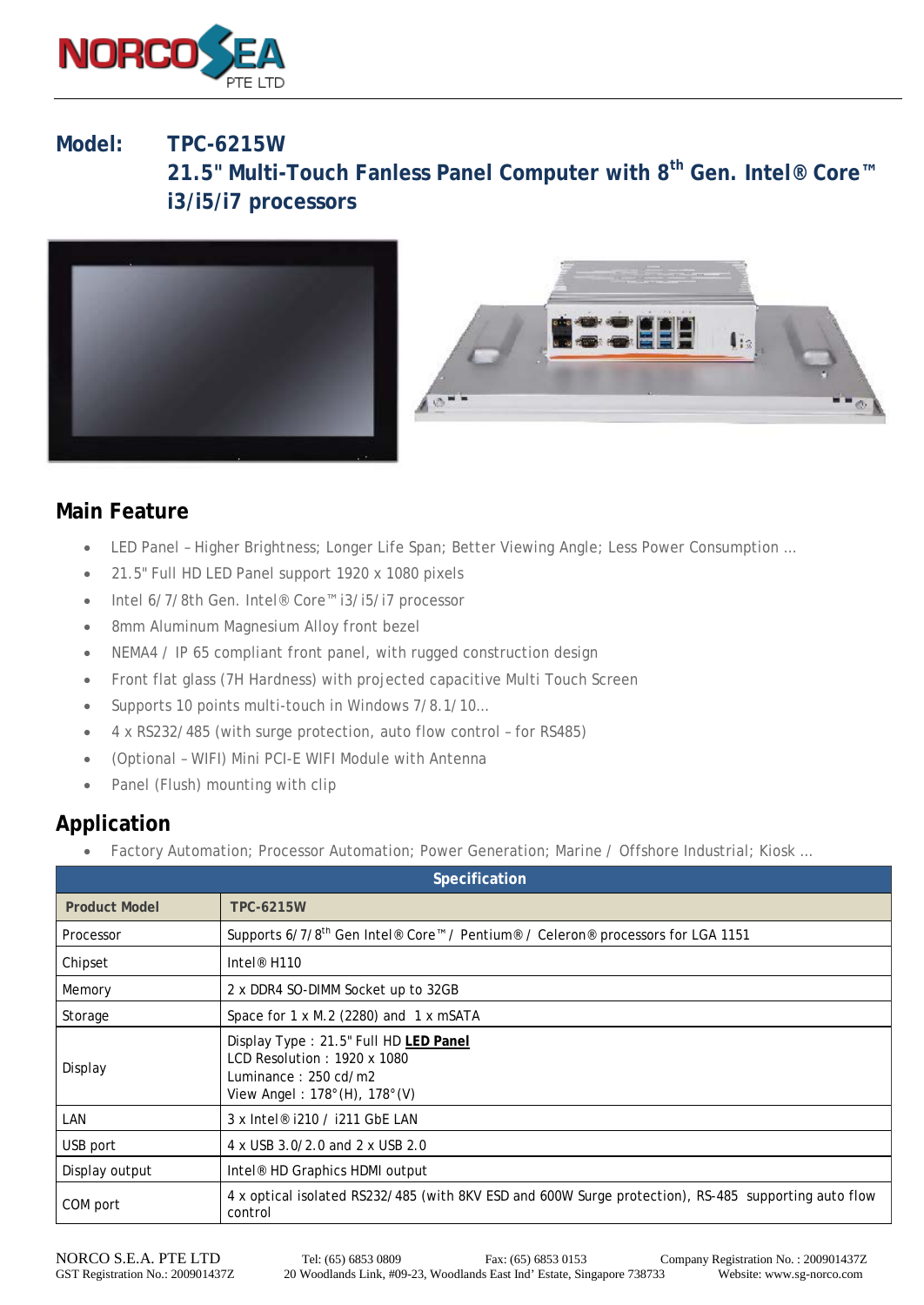

# **Model: TPC-6215W 21.5" Multi-Touch Fanless Panel Computer with 8th Gen. Intel® Core™ i3/i5/i7 processors**





#### **Main Feature**

- LED Panel Higher Brightness; Longer Life Span; Better Viewing Angle; Less Power Consumption …
- 21.5" Full HD LED Panel support 1920 x 1080 pixels
- Intel 6/7/8th Gen. Intel® Core™ i3/i5/i7 processor
- 8mm Aluminum Magnesium Alloy front bezel
- NEMA4 / IP 65 compliant front panel, with rugged construction design
- Front flat glass (7H Hardness) with projected capacitive Multi Touch Screen
- Supports 10 points multi-touch in Windows 7/8.1/10…
- 4 x RS232/485 (with surge protection, auto flow control for RS485)
- (Optional WIFI) Mini PCI-E WIFI Module with Antenna
- Panel (Flush) mounting with clip

### **Application**

Factory Automation; Processor Automation; Power Generation; Marine / Offshore Industrial; Kiosk ...

| Specification        |                                                                                                                                                                   |  |  |  |  |
|----------------------|-------------------------------------------------------------------------------------------------------------------------------------------------------------------|--|--|--|--|
| <b>Product Model</b> | <b>TPC-6215W</b>                                                                                                                                                  |  |  |  |  |
| Processor            | Supports 6/7/8 <sup>th</sup> Gen Intel® Core <sup>™</sup> / Pentium® / Celeron® processors for LGA 1151                                                           |  |  |  |  |
| Chipset              | Intel <sup>®</sup> H <sub>110</sub>                                                                                                                               |  |  |  |  |
| Memory               | 2 x DDR4 SO-DIMM Socket up to 32GB                                                                                                                                |  |  |  |  |
| Storage              | Space for 1 x M.2 (2280) and 1 x mSATA                                                                                                                            |  |  |  |  |
| Display              | Display Type: 21.5" Full HD LED Panel<br>LCD Resolution: $1920 \times 1080$<br>Luminance: $250 \text{ cd/m2}$<br>View Angel: $178^{\circ}$ (H), $178^{\circ}$ (V) |  |  |  |  |
| LAN                  | 3 x Intel <sup>®</sup> i210 / i211 GbE LAN                                                                                                                        |  |  |  |  |
| USB port             | 4 x USB 3.0/2.0 and 2 x USB 2.0                                                                                                                                   |  |  |  |  |
| Display output       | Intel <sup>®</sup> HD Graphics HDMI output                                                                                                                        |  |  |  |  |
| COM port             | 4 x optical isolated RS232/485 (with 8KV ESD and 600W Surge protection), RS-485 supporting auto flow<br>control                                                   |  |  |  |  |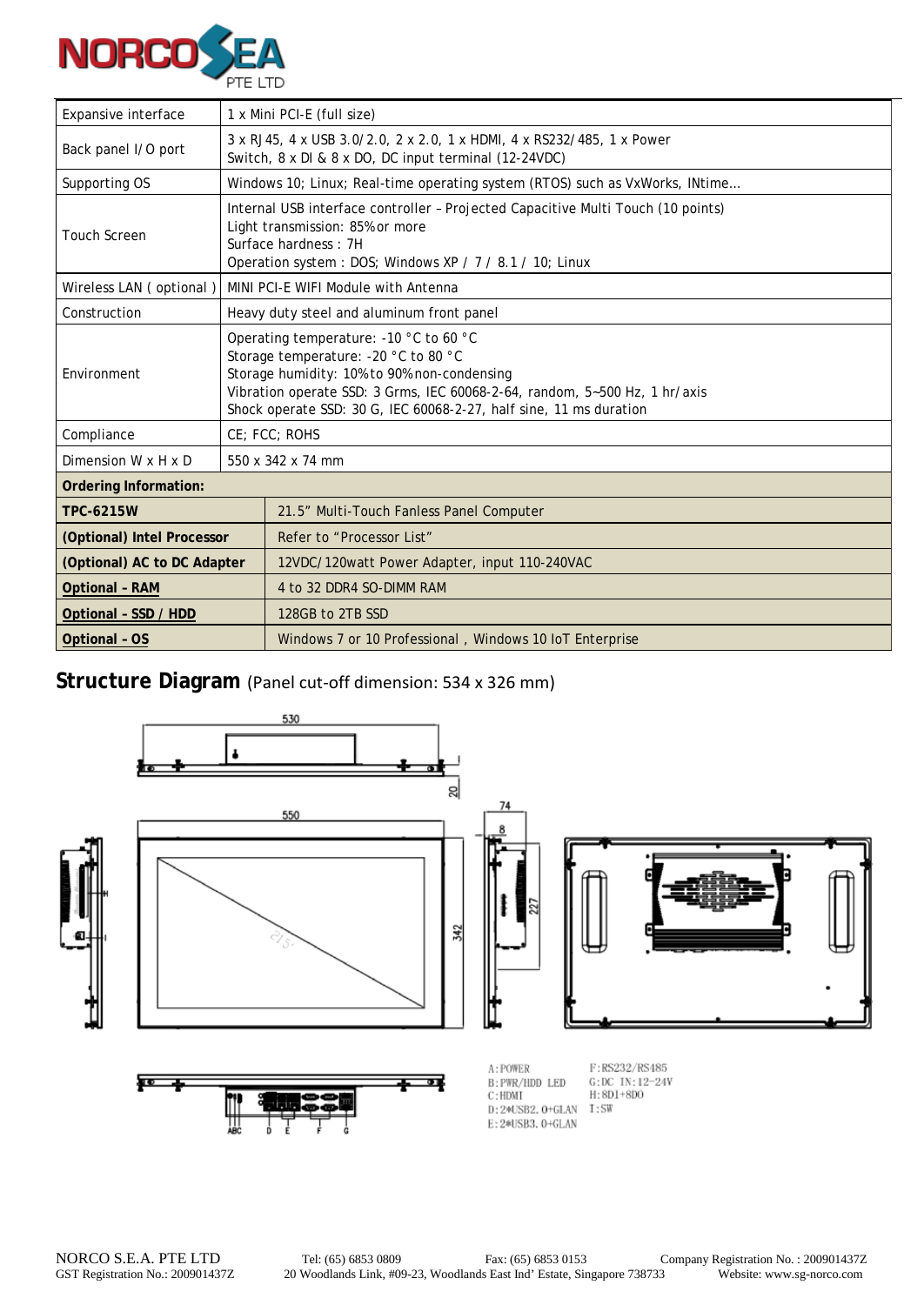

| Expansive interface         | 1 x Mini PCI-E (full size)                                                                                                                                                                                                                                                        |                                                                                                                                                                                                        |  |  |  |  |  |
|-----------------------------|-----------------------------------------------------------------------------------------------------------------------------------------------------------------------------------------------------------------------------------------------------------------------------------|--------------------------------------------------------------------------------------------------------------------------------------------------------------------------------------------------------|--|--|--|--|--|
| Back panel I/O port         | 3 x RJ45, 4 x USB 3.0/2.0, 2 x 2.0, 1 x HDMI, 4 x RS232/485, 1 x Power<br>Switch, 8 x DI & 8 x DO, DC input terminal (12-24VDC)                                                                                                                                                   |                                                                                                                                                                                                        |  |  |  |  |  |
| Supporting OS               |                                                                                                                                                                                                                                                                                   | Windows 10; Linux; Real-time operating system (RTOS) such as VxWorks, INtime                                                                                                                           |  |  |  |  |  |
| <b>Touch Screen</b>         |                                                                                                                                                                                                                                                                                   | Internal USB interface controller - Projected Capacitive Multi Touch (10 points)<br>Light transmission: 85% or more<br>Surface hardness: 7H<br>Operation system: DOS; Windows XP / 7 / 8.1 / 10; Linux |  |  |  |  |  |
| Wireless LAN (optional)     | MINI PCI-E WIFI Module with Antenna                                                                                                                                                                                                                                               |                                                                                                                                                                                                        |  |  |  |  |  |
| Construction                | Heavy duty steel and aluminum front panel                                                                                                                                                                                                                                         |                                                                                                                                                                                                        |  |  |  |  |  |
| Environment                 | Operating temperature: -10 °C to 60 °C<br>Storage temperature: -20 °C to 80 °C<br>Storage humidity: 10% to 90% non-condensing<br>Vibration operate SSD: 3 Grms, IEC 60068-2-64, random, 5~500 Hz, 1 hr/axis<br>Shock operate SSD: 30 G, IEC 60068-2-27, half sine, 11 ms duration |                                                                                                                                                                                                        |  |  |  |  |  |
| Compliance                  |                                                                                                                                                                                                                                                                                   | CE; FCC; ROHS                                                                                                                                                                                          |  |  |  |  |  |
| Dimension W x H x D         | 550 x 342 x 74 mm                                                                                                                                                                                                                                                                 |                                                                                                                                                                                                        |  |  |  |  |  |
| Ordering Information:       |                                                                                                                                                                                                                                                                                   |                                                                                                                                                                                                        |  |  |  |  |  |
| <b>TPC-6215W</b>            |                                                                                                                                                                                                                                                                                   | 21.5" Multi-Touch Fanless Panel Computer                                                                                                                                                               |  |  |  |  |  |
| (Optional) Intel Processor  |                                                                                                                                                                                                                                                                                   | Refer to "Processor List"                                                                                                                                                                              |  |  |  |  |  |
| (Optional) AC to DC Adapter |                                                                                                                                                                                                                                                                                   | 12VDC/120watt Power Adapter, input 110-240VAC                                                                                                                                                          |  |  |  |  |  |
| <b>Optional - RAM</b>       |                                                                                                                                                                                                                                                                                   | 4 to 32 DDR4 SO-DIMM RAM                                                                                                                                                                               |  |  |  |  |  |
| Optional - SSD / HDD        |                                                                                                                                                                                                                                                                                   | 128GB to 2TB SSD                                                                                                                                                                                       |  |  |  |  |  |
| <b>Optional - OS</b>        |                                                                                                                                                                                                                                                                                   | Windows 7 or 10 Professional, Windows 10 IoT Enterprise                                                                                                                                                |  |  |  |  |  |

## **Structure Diagram** (Panel cut-off dimension: 534 x 326 mm)



E:2\*USB3.0+GLAN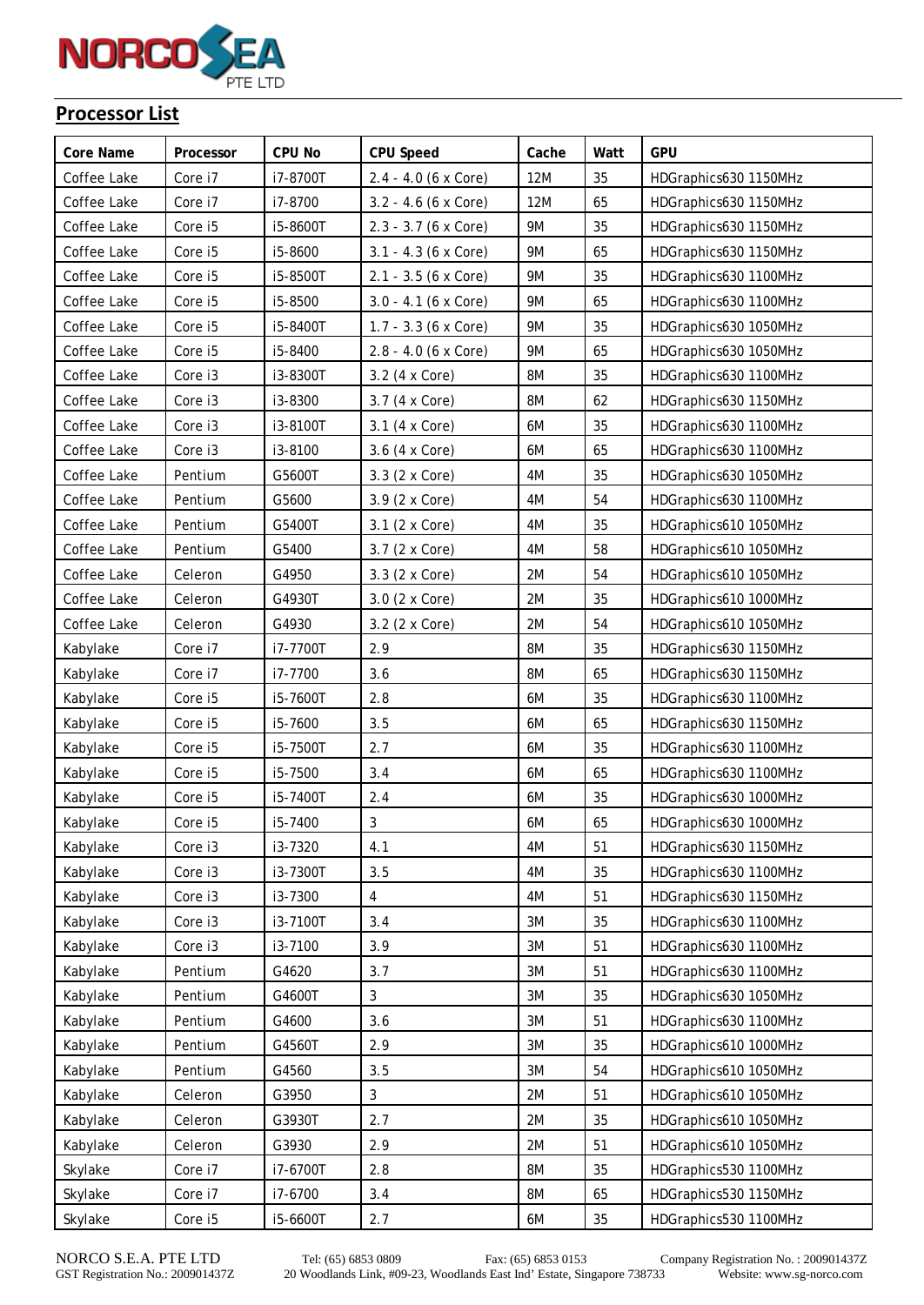

#### **Processor List**

| Core Name   | Processor | <b>CPU No</b> | <b>CPU Speed</b>       | Cache      | Watt | GPU                   |
|-------------|-----------|---------------|------------------------|------------|------|-----------------------|
| Coffee Lake | Core i7   | i7-8700T      | 2.4 - 4.0 (6 x Core)   | 12M        | 35   | HDGraphics630 1150MHz |
| Coffee Lake | Core i7   | i7-8700       | $3.2 - 4.6$ (6 x Core) | <b>12M</b> | 65   | HDGraphics630 1150MHz |
| Coffee Lake | Core i5   | i5-8600T      | 2.3 - 3.7 (6 x Core)   | 9M         | 35   | HDGraphics630 1150MHz |
| Coffee Lake | Core i5   | i5-8600       | $3.1 - 4.3$ (6 x Core) | 9M         | 65   | HDGraphics630 1150MHz |
| Coffee Lake | Core i5   | i5-8500T      | $2.1 - 3.5$ (6 x Core) | 9M         | 35   | HDGraphics630 1100MHz |
| Coffee Lake | Core i5   | i5-8500       | $3.0 - 4.1$ (6 x Core) | 9M         | 65   | HDGraphics630 1100MHz |
| Coffee Lake | Core i5   | i5-8400T      | $1.7 - 3.3$ (6 x Core) | 9M         | 35   | HDGraphics630 1050MHz |
| Coffee Lake | Core i5   | i5-8400       | $2.8 - 4.0$ (6 x Core) | <b>9M</b>  | 65   | HDGraphics630 1050MHz |
| Coffee Lake | Core i3   | i3-8300T      | 3.2 (4 x Core)         | 8M         | 35   | HDGraphics630 1100MHz |
| Coffee Lake | Core i3   | i3-8300       | 3.7 (4 x Core)         | 8M         | 62   | HDGraphics630 1150MHz |
| Coffee Lake | Core i3   | i3-8100T      | 3.1 (4 x Core)         | 6M         | 35   | HDGraphics630 1100MHz |
| Coffee Lake | Core i3   | i3-8100       | 3.6 (4 x Core)         | 6M         | 65   | HDGraphics630 1100MHz |
| Coffee Lake | Pentium   | G5600T        | 3.3 (2 x Core)         | 4M         | 35   | HDGraphics630 1050MHz |
| Coffee Lake | Pentium   | G5600         | 3.9 (2 x Core)         | 4M         | 54   | HDGraphics630 1100MHz |
| Coffee Lake | Pentium   | G5400T        | 3.1 (2 x Core)         | 4M         | 35   | HDGraphics610 1050MHz |
| Coffee Lake | Pentium   | G5400         | 3.7 (2 x Core)         | 4M         | 58   | HDGraphics610 1050MHz |
| Coffee Lake | Celeron   | G4950         | 3.3 (2 x Core)         | 2M         | 54   | HDGraphics610 1050MHz |
| Coffee Lake | Celeron   | G4930T        | 3.0 (2 x Core)         | 2M         | 35   | HDGraphics610 1000MHz |
| Coffee Lake | Celeron   | G4930         | 3.2 (2 x Core)         | 2M         | 54   | HDGraphics610 1050MHz |
| Kabylake    | Core i7   | i7-7700T      | 2.9                    | 8M         | 35   | HDGraphics630 1150MHz |
| Kabylake    | Core i7   | i7-7700       | 3.6                    | 8M         | 65   | HDGraphics630 1150MHz |
| Kabylake    | Core i5   | i5-7600T      | 2.8                    | 6M         | 35   | HDGraphics630 1100MHz |
| Kabylake    | Core i5   | i5-7600       | 3.5                    | 6M         | 65   | HDGraphics630 1150MHz |
| Kabylake    | Core i5   | i5-7500T      | 2.7                    | 6M         | 35   | HDGraphics630 1100MHz |
| Kabylake    | Core i5   | i5-7500       | 3.4                    | 6M         | 65   | HDGraphics630 1100MHz |
| Kabylake    | Core i5   | i5-7400T      | 2.4                    | 6M         | 35   | HDGraphics630 1000MHz |
| Kabylake    | Core i5   | i5-7400       | $\sqrt{3}$             | 6M         | 65   | HDGraphics630 1000MHz |
| Kabylake    | Core i3   | i3-7320       | 4.1                    | 4M         | 51   | HDGraphics630 1150MHz |
| Kabylake    | Core i3   | i3-7300T      | 3.5                    | 4M         | 35   | HDGraphics630 1100MHz |
| Kabylake    | Core i3   | i3-7300       | 4                      | 4M         | 51   | HDGraphics630 1150MHz |
| Kabylake    | Core i3   | i3-7100T      | 3.4                    | 3M         | 35   | HDGraphics630 1100MHz |
| Kabylake    | Core i3   | i3-7100       | 3.9                    | 3M         | 51   | HDGraphics630 1100MHz |
| Kabylake    | Pentium   | G4620         | 3.7                    | 3M         | 51   | HDGraphics630 1100MHz |
| Kabylake    | Pentium   | G4600T        | 3                      | 3M         | 35   | HDGraphics630 1050MHz |
| Kabylake    | Pentium   | G4600         | 3.6                    | 3M         | 51   | HDGraphics630 1100MHz |
| Kabylake    | Pentium   | G4560T        | 2.9                    | 3M         | 35   | HDGraphics610 1000MHz |
| Kabylake    | Pentium   | G4560         | 3.5                    | 3M         | 54   | HDGraphics610 1050MHz |
| Kabylake    | Celeron   | G3950         | 3                      | 2M         | 51   | HDGraphics610 1050MHz |
| Kabylake    | Celeron   | G3930T        | 2.7                    | 2M         | 35   | HDGraphics610 1050MHz |
| Kabylake    | Celeron   | G3930         | 2.9                    | 2M         | 51   | HDGraphics610 1050MHz |
| Skylake     | Core i7   | i7-6700T      | 2.8                    | 8M         | 35   | HDGraphics530 1100MHz |
| Skylake     | Core i7   | i7-6700       | 3.4                    | 8M         | 65   | HDGraphics530 1150MHz |
| Skylake     | Core i5   | i5-6600T      | 2.7                    | 6M         | 35   | HDGraphics530 1100MHz |